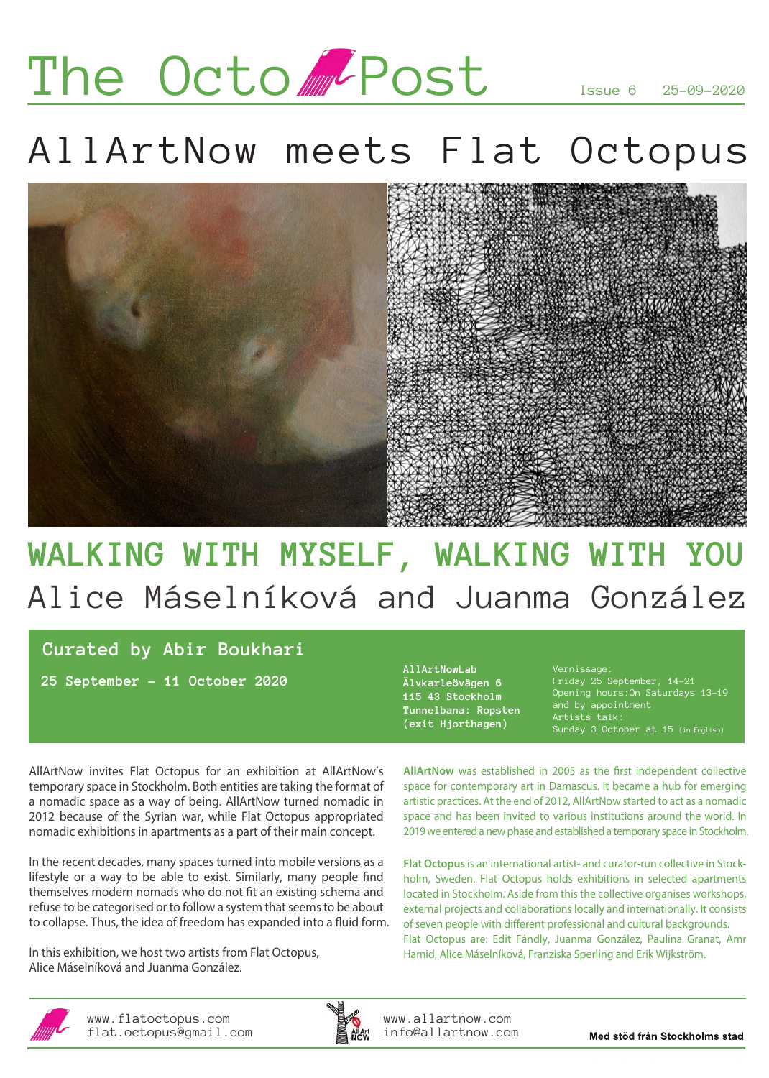# The Octo APost

Issue 6 25-09-2020

## AllArtNow meets Flat Octopus



### **WALKING WITH MYSELF, WALKING WITH YOU** Alice Máselníková and Juanma González

### **Curated by Abir Boukhari**

**25 September – 11 October 2020**

**AllArtNowLab Älvkarleövägen 6 115 43 Stockholm Tunnelbana: Ropsten (exit Hjorthagen)**

Vernissage: Friday 25 September, 14–21 and by appointment Sunday 3 October at 15 (in English)

AllArtNow invites Flat Octopus for an exhibition at AllArtNow's temporary space in Stockholm. Both entities are taking the format of a nomadic space as a way of being. AllArtNow turned nomadic in 2012 because of the Syrian war, while Flat Octopus appropriated nomadic exhibitions in apartments as a part of their main concept.

In the recent decades, many spaces turned into mobile versions as a lifestyle or a way to be able to exist. Similarly, many people find themselves modern nomads who do not fit an existing schema and refuse to be categorised or to follow a system that seems to be about to collapse. Thus, the idea of freedom has expanded into a fluid form.

In this exhibition, we host two artists from Flat Octopus, Alice Máselníková and Juanma González.

AllArtNow was established in 2005 as the first independent collective space for contemporary art in Damascus. It became a hub for emerging artistic practices. At the end of 2012, AllArtNow started to act as a nomadic space and has been invited to various institutions around the world. In 2019 we entered a new phase and established a temporary space in Stockholm.

**Flat Octopus** is an international artist- and curator-run collective in Stockholm, Sweden. Flat Octopus holds exhibitions in selected apartments located in Stockholm. Aside from this the collective organises workshops, external projects and collaborations locally and internationally. It consists of seven people with different professional and cultural backgrounds. Flat Octopus are: Edit Fándly, Juanma González, Paulina Granat, Amr Hamid, Alice Máselníková, Franziska Sperling and Erik Wijkström.



www.flatoctopus.com flat.octopus@gmail.com



www.allartnow.com info@allartnow.com

Med stöd från Stockholms stad